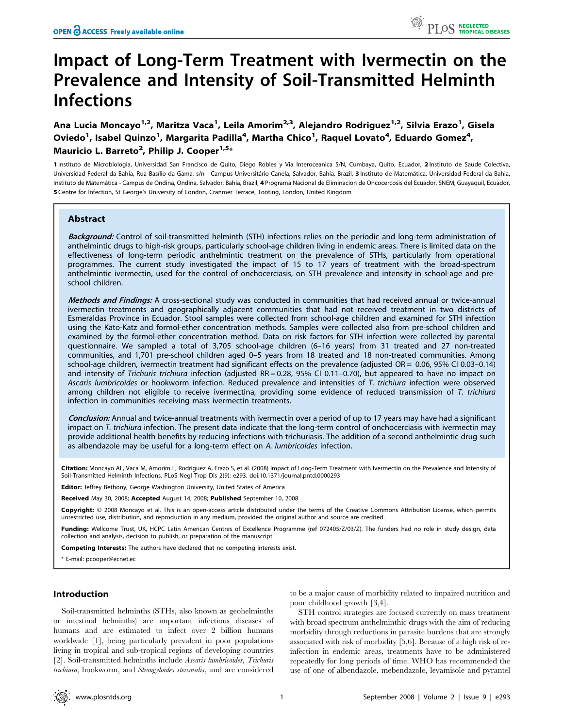# Impact of Long-Term Treatment with Ivermectin on the Prevalence and Intensity of Soil-Transmitted Helminth Infections

Ana Lucia Moncayo<sup>1,2</sup>, Maritza Vaca<sup>1</sup>, Leila Amorim<sup>2,3</sup>, Alejandro Rodriguez<sup>1,2</sup>, Silvia Erazo<sup>1</sup>, Gisela Oviedo<sup>1</sup>, Isabel Quinzo<sup>1</sup>, Margarita Padilla<sup>4</sup>, Martha Chico<sup>1</sup>, Raquel Lovato<sup>4</sup>, Eduardo Gomez<sup>4</sup>, Mauricio L. Barreto<sup>2</sup>, Philip J. Cooper<sup>1,5</sup>\*

1 Instituto de Microbiologia, Universidad San Francisco de Quito, Diego Robles y Via Interoceanica S/N, Cumbaya, Quito, Ecuador, 2 Instituto de Saude Colectiva, Universidad Federal da Bahia, Rua Basílio da Gama, s/n - Campus Universitário Canela, Salvador, Bahia, Brazil, 3 Instituto de Matemática, Universidad Federal da Bahia, Instituto de Matema´tica - Campus de Ondina, Ondina, Salvador, Bahia, Brazil, 4 Programa Nacional de Eliminacion de Oncocercosis del Ecuador, SNEM, Guayaquil, Ecuador, 5 Centre for Infection, St George's University of London, Cranmer Terrace, Tooting, London, United Kingdom

# Abstract

Background: Control of soil-transmitted helminth (STH) infections relies on the periodic and long-term administration of anthelmintic drugs to high-risk groups, particularly school-age children living in endemic areas. There is limited data on the effectiveness of long-term periodic anthelmintic treatment on the prevalence of STHs, particularly from operational programmes. The current study investigated the impact of 15 to 17 years of treatment with the broad-spectrum anthelmintic ivermectin, used for the control of onchocerciasis, on STH prevalence and intensity in school-age and preschool children.

Methods and Findings: A cross-sectional study was conducted in communities that had received annual or twice-annual ivermectin treatments and geographically adjacent communities that had not received treatment in two districts of Esmeraldas Province in Ecuador. Stool samples were collected from school-age children and examined for STH infection using the Kato-Katz and formol-ether concentration methods. Samples were collected also from pre-school children and examined by the formol-ether concentration method. Data on risk factors for STH infection were collected by parental questionnaire. We sampled a total of 3,705 school-age children (6–16 years) from 31 treated and 27 non-treated communities, and 1,701 pre-school children aged 0–5 years from 18 treated and 18 non-treated communities. Among school-age children, ivermectin treatment had significant effects on the prevalence (adjusted OR = 0.06, 95% CI 0.03–0.14) and intensity of Trichuris trichiura infection (adjusted RR = 0.28, 95% CI 0.11–0.70), but appeared to have no impact on Ascaris lumbricoides or hookworm infection. Reduced prevalence and intensities of T. trichiura infection were observed among children not eligible to receive ivermectina, providing some evidence of reduced transmission of T. trichiura infection in communities receiving mass ivermectin treatments.

Conclusion: Annual and twice-annual treatments with ivermectin over a period of up to 17 years may have had a significant impact on T. trichiura infection. The present data indicate that the long-term control of onchocerciasis with ivermectin may provide additional health benefits by reducing infections with trichuriasis. The addition of a second anthelmintic drug such as albendazole may be useful for a long-term effect on A. lumbricoides infection.

Citation: Moncayo AL, Vaca M, Amorim L, Rodriguez A, Erazo S, et al. (2008) Impact of Long-Term Treatment with Ivermectin on the Prevalence and Intensity of Soil-Transmitted Helminth Infections. PLoS Negl Trop Dis 2(9): e293. doi:10.1371/journal.pntd.0000293

Editor: Jeffrey Bethony, George Washington University, United States of America

Received May 30, 2008; Accepted August 14, 2008; Published September 10, 2008

Copyright: © 2008 Moncayo et al. This is an open-access article distributed under the terms of the Creative Commons Attribution License, which permits unrestricted use, distribution, and reproduction in any medium, provided the original author and source are credited.

Funding: Wellcome Trust, UK, HCPC Latin American Centres of Excellence Programme (ref 072405/Z/03/Z). The funders had no role in study design, data collection and analysis, decision to publish, or preparation of the manuscript.

ompeting Interests: The authors have declared that no competing interests exist.

\* E-mail: pcooper@ecnet.ec

# Introduction

Soil-transmitted helminths (STHs, also known as geohelminths or intestinal helminths) are important infectious diseases of humans and are estimated to infect over 2 billion humans worldwide [1], being particularly prevalent in poor populations living in tropical and sub-tropical regions of developing countries [2]. Soil-transmitted helminths include Ascaris lumbricoides, Trichuris trichiura, hookworm, and Strongyloides stercoralis, and are considered

to be a major cause of morbidity related to impaired nutrition and poor childhood growth [3,4].

STH control strategies are focused currently on mass treatment with broad spectrum anthelminthic drugs with the aim of reducing morbidity through reductions in parasite burdens that are strongly associated with risk of morbidity [5,6]. Because of a high risk of reinfection in endemic areas, treatments have to be administered repeatedly for long periods of time. WHO has recommended the use of one of albendazole, mebendazole, levamisole and pyrantel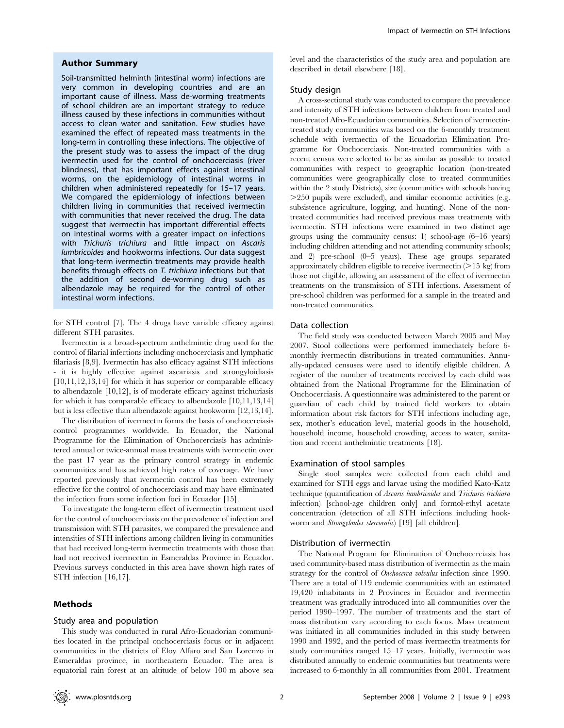## Author Summary

Soil-transmitted helminth (intestinal worm) infections are very common in developing countries and are an important cause of illness. Mass de-worming treatments of school children are an important strategy to reduce illness caused by these infections in communities without access to clean water and sanitation. Few studies have examined the effect of repeated mass treatments in the long-term in controlling these infections. The objective of the present study was to assess the impact of the drug ivermectin used for the control of onchocerciasis (river blindness), that has important effects against intestinal worms, on the epidemiology of intestinal worms in children when administered repeatedly for 15–17 years. We compared the epidemiology of infections between children living in communities that received ivermectin with communities that never received the drug. The data suggest that ivermectin has important differential effects on intestinal worms with a greater impact on infections with Trichuris trichiura and little impact on Ascaris lumbricoides and hookworms infections. Our data suggest that long-term ivermectin treatments may provide health benefits through effects on T. trichiura infections but that the addition of second de-worming drug such as albendazole may be required for the control of other intestinal worm infections.

for STH control [7]. The 4 drugs have variable efficacy against different STH parasites.

Ivermectin is a broad-spectrum anthelmintic drug used for the control of filarial infections including onchocerciasis and lymphatic filariasis [8,9]. Ivermectin has also efficacy against STH infections - it is highly effective against ascariasis and strongyloidiasis [10,11,12,13,14] for which it has superior or comparable efficacy to albendazole [10,12], is of moderate efficacy against trichuriasis for which it has comparable efficacy to albendazole [10,11,13,14] but is less effective than albendazole against hookworm [12,13,14].

The distribution of ivermectin forms the basis of onchocerciasis control programmes worldwide. In Ecuador, the National Programme for the Elimination of Onchocerciasis has administered annual or twice-annual mass treatments with ivermectin over the past 17 year as the primary control strategy in endemic communities and has achieved high rates of coverage. We have reported previously that ivermectin control has been extremely effective for the control of onchocerciasis and may have eliminated the infection from some infection foci in Ecuador [15].

To investigate the long-term effect of ivermectin treatment used for the control of onchocerciasis on the prevalence of infection and transmission with STH parasites, we compared the prevalence and intensities of STH infections among children living in communities that had received long-term ivermectin treatments with those that had not received ivermectin in Esmeraldas Province in Ecuador. Previous surveys conducted in this area have shown high rates of STH infection [16,17].

# Methods

# Study area and population

This study was conducted in rural Afro-Ecuadorian communities located in the principal onchocerciasis focus or in adjacent communities in the districts of Eloy Alfaro and San Lorenzo in Esmeraldas province, in northeastern Ecuador. The area is equatorial rain forest at an altitude of below 100 m above sea

level and the characteristics of the study area and population are described in detail elsewhere [18].

## Study design

A cross-sectional study was conducted to compare the prevalence and intensity of STH infections between children from treated and non-treated Afro-Ecuadorian communities. Selection of ivermectintreated study communities was based on the 6-monthly treatment schedule with ivermectin of the Ecuadorian Elimination Programme for Onchocerciasis. Non-treated communities with a recent census were selected to be as similar as possible to treated communities with respect to geographic location (non-treated communities were geographically close to treated communities within the 2 study Districts), size (communities with schools having  $>$ 250 pupils were excluded), and similar economic activities (e.g. subsistence agriculture, logging, and hunting). None of the nontreated communities had received previous mass treatments with ivermectin. STH infections were examined in two distinct age groups using the community census: 1) school-age (6–16 years) including children attending and not attending community schools; and 2) pre-school (0–5 years). These age groups separated approximately children eligible to receive ivermectin  $(>15 \text{ kg})$  from those not eligible, allowing an assessment of the effect of ivermectin treatments on the transmission of STH infections. Assessment of pre-school children was performed for a sample in the treated and non-treated communities.

# Data collection

The field study was conducted between March 2005 and May 2007. Stool collections were performed immediately before 6 monthly ivermectin distributions in treated communities. Annually-updated censuses were used to identify eligible children. A register of the number of treatments received by each child was obtained from the National Programme for the Elimination of Onchocerciasis. A questionnaire was administered to the parent or guardian of each child by trained field workers to obtain information about risk factors for STH infections including age, sex, mother's education level, material goods in the household, household income, household crowding, access to water, sanitation and recent anthelmintic treatments [18].

## Examination of stool samples

Single stool samples were collected from each child and examined for STH eggs and larvae using the modified Kato-Katz technique (quantification of Ascaris lumbricoides and Trichuris trichiura infection) [school-age children only] and formol-ethyl acetate concentration (detection of all STH infections including hookworm and Strongyloides stercoralis) [19] [all children].

# Distribution of ivermectin

The National Program for Elimination of Onchocerciasis has used community-based mass distribution of ivermectin as the main strategy for the control of *Onchocerca volvulus* infection since 1990. There are a total of 119 endemic communities with an estimated 19,420 inhabitants in 2 Provinces in Ecuador and ivermectin treatment was gradually introduced into all communities over the period 1990–1997. The number of treatments and the start of mass distribution vary according to each focus. Mass treatment was initiated in all communities included in this study between 1990 and 1992, and the period of mass ivermectin treatments for study communities ranged 15–17 years. Initially, ivermectin was distributed annually to endemic communities but treatments were increased to 6-monthly in all communities from 2001. Treatment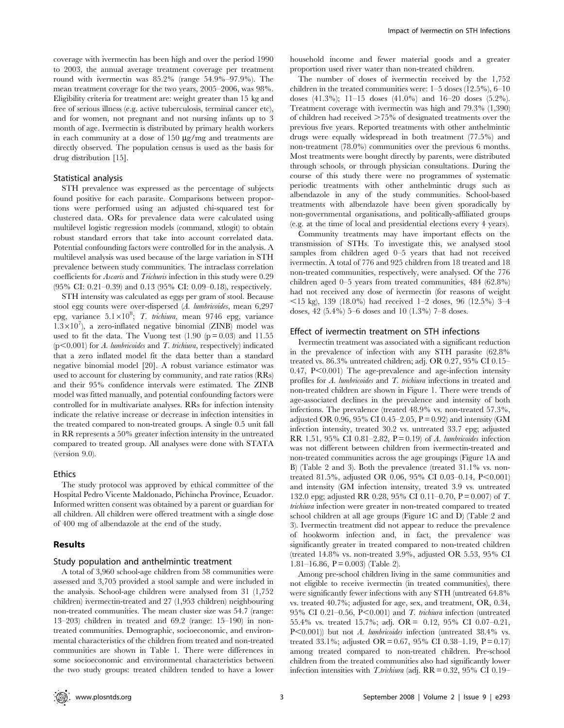coverage with ivermectin has been high and over the period 1990 to 2003, the annual average treatment coverage per treatment round with ivermectin was 85.2% (range 54.9%–97.9%). The mean treatment coverage for the two years, 2005–2006, was 98%. Eligibility criteria for treatment are: weight greater than 15 kg and free of serious illness (e.g. active tuberculosis, terminal cancer etc), and for women, not pregnant and not nursing infants up to 3 month of age. Ivermectin is distributed by primary health workers in each community at a dose of 150  $\mu$ g/mg and treatments are directly observed. The population census is used as the basis for drug distribution [15].

## Statistical analysis

STH prevalence was expressed as the percentage of subjects found positive for each parasite. Comparisons between proportions were performed using an adjusted chi-squared test for clustered data. ORs for prevalence data were calculated using multilevel logistic regression models (command, xtlogit) to obtain robust standard errors that take into account correlated data. Potential confounding factors were controlled for in the analysis. A multilevel analysis was used because of the large variation in STH prevalence between study communities. The intraclass correlation coefficients for Ascaris and Trichuris infection in this study were 0.29 (95% CI: 0.21–0.39) and 0.13 (95% CI: 0.09–0.18), respectively.

STH intensity was calculated as eggs per gram of stool. Because stool egg counts were over-dispersed (A. lumbricoides, mean 6,297 epg, variance 5.1×10<sup>8</sup>; T. trichiura, mean 9746 epg, variance  $1.3 \times 10^7$ ), a zero-inflated negative binomial (ZINB) model was used to fit the data. The Vuong test  $(1.90 (p=0.03)$  and  $11.55$  $(p<0.001)$  for A. lumbricoides and T. trichiura, respectively) indicated that a zero inflated model fit the data better than a standard negative binomial model [20]. A robust variance estimator was used to account for clustering by community, and rate ratios (RRs) and their 95% confidence intervals were estimated. The ZINB model was fitted manually, and potential confounding factors were controlled for in multivariate analyses. RRs for infection intensity indicate the relative increase or decrease in infection intensities in the treated compared to non-treated groups. A single 0.5 unit fall in RR represents a 50% greater infection intensity in the untreated compared to treated group. All analyses were done with STATA (version 9.0).

#### Ethics

The study protocol was approved by ethical committee of the Hospital Pedro Vicente Maldonado, Pichincha Province, Ecuador. Informed written consent was obtained by a parent or guardian for all children. All children were offered treatment with a single dose of 400 mg of albendazole at the end of the study.

## Results

## Study population and anthelmintic treatment

A total of 3,960 school-age children from 58 communities were assessed and 3,705 provided a stool sample and were included in the analysis. School-age children were analysed from 31 (1,752 children) ivermectin-treated and 27 (1,953 children) neighbouring non-treated communities. The mean cluster size was 54.7 (range: 13–203) children in treated and 69.2 (range: 15–190) in nontreated communities. Demographic, socioeconomic, and environmental characteristics of the children from treated and non-treated communities are shown in Table 1. There were differences in some socioeconomic and environmental characteristics between the two study groups: treated children tended to have a lower

household income and fewer material goods and a greater proportion used river water than non-treated children.

The number of doses of ivermectin received by the 1,752 children in the treated communities were: 1–5 doses (12.5%), 6–10 doses (41.3%); 11–15 doses (41.0%) and 16–20 doses (5.2%). Treatment coverage with ivermectin was high and 79.3% (1,390) of children had received  $>75\%$  of designated treatments over the previous five years. Reported treatments with other anthelmintic drugs were equally widespread in both treatment (77.5%) and non-treatment (78.0%) communities over the previous 6 months. Most treatments were bought directly by parents, were distributed through schools, or through physician consultations. During the course of this study there were no programmes of systematic periodic treatments with other anthelmintic drugs such as albendazole in any of the study communities. School-based treatments with albendazole have been given sporadically by non-governmental organisations, and politically-affiliated groups (e.g. at the time of local and presidential elections every 4 years).

Community treatments may have important effects on the transmission of STHs. To investigate this, we analysed stool samples from children aged 0–5 years that had not received ivermectin. A total of 776 and 925 children from 18 treated and 18 non-treated communities, respectively, were analysed. Of the 776 children aged 0–5 years from treated communities, 484 (62.8%) had not received any dose of ivermectin (for reasons of weight  $\langle 15 \text{ kg} \rangle$ , 139 (18.0%) had received 1–2 doses, 96 (12.5%) 3–4 doses, 42 (5.4%) 5–6 doses and 10 (1.3%) 7–8 doses.

#### Effect of ivermectin treatment on STH infections

Ivermectin treatment was associated with a significant reduction in the prevalence of infection with any STH parasite (62.8% treated vs. 86.3% untreated children; adj. OR 0.27, 95% CI 0.15–  $0.47, P<0.001$ ) The age-prevalence and age-infection intensity profiles for A. lumbricoides and T. trichiura infections in treated and non-treated children are shown in Figure 1. There were trends of age-associated declines in the prevalence and intensity of both infections. The prevalence (treated 48.9% vs. non-treated 57.3%, adjusted OR 0.96, 95% CI 0.45–2.05,  $P = 0.92$ ) and intensity (GM infection intensity, treated 30.2 vs. untreated 33.7 epg; adjusted RR 1.51, 95% CI 0.81–2.82,  $P = 0.19$  of A. lumbricoides infection was not different between children from ivermectin-treated and non-treated communities across the age groupings (Figure 1A and B) (Table 2 and 3). Both the prevalence (treated 31.1% vs. nontreated 81.5%, adjusted OR 0.06, 95% CI 0.03–0.14, P<0.001) and intensity (GM infection intensity, treated 3.9 vs. untreated 132.0 epg; adjusted RR 0.28, 95% CI 0.11–0.70, P = 0.007) of T. trichiura infection were greater in non-treated compared to treated school children at all age groups (Figure 1C and D) (Table 2 and 3). Ivermectin treatment did not appear to reduce the prevalence of hookworm infection and, in fact, the prevalence was significantly greater in treated compared to non-treated children (treated 14.8% vs. non-treated 3.9%, adjusted OR 5.53, 95% CI 1.81–16.86,  $P = 0.003$  (Table 2).

Among pre-school children living in the same communities and not eligible to receive ivermectin (in treated communities), there were significantly fewer infections with any STH (untreated 64.8% vs. treated 40.7%; adjusted for age, sex, and treatment, OR, 0.34, 95% CI 0.21–0.56, P<0.001) and T. trichiura infection (untreated 55.4% vs. treated 15.7%; adj. OR = 0.12, 95% CI 0.07–0.21,  $P<0.001$ )) but not A. lumbricoides infection (untreated 38.4% vs. treated 33.1%; adjusted OR = 0.67, 95% CI 0.38–1.19, P = 0.17) among treated compared to non-treated children. Pre-school children from the treated communities also had significantly lower infection intensities with T.trichiura (adj.  $RR = 0.32, 95\% \text{ CI } 0.19-$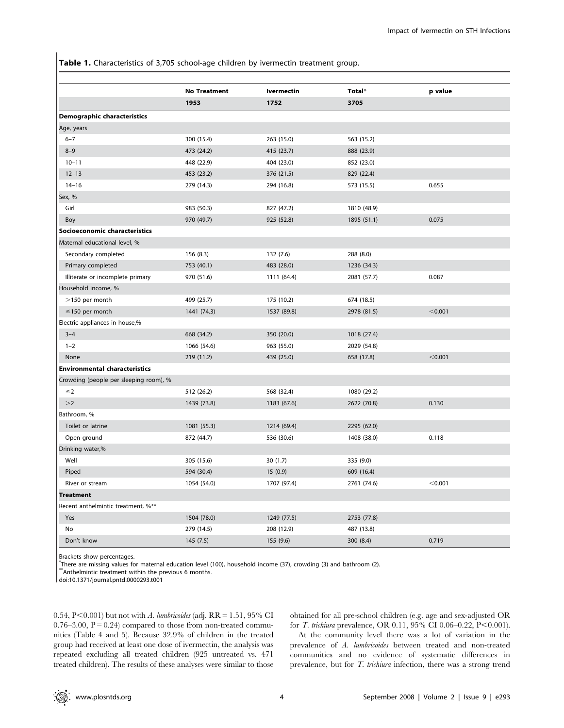Table 1. Characteristics of 3,705 school-age children by ivermectin treatment group.

|                                        | <b>No Treatment</b> | <b>Ivermectin</b> | Total*      | p value |
|----------------------------------------|---------------------|-------------------|-------------|---------|
|                                        | 1953                | 1752              | 3705        |         |
| <b>Demographic characteristics</b>     |                     |                   |             |         |
| Age, years                             |                     |                   |             |         |
| $6 - 7$                                | 300 (15.4)          | 263 (15.0)        | 563 (15.2)  |         |
| $8 - 9$                                | 473 (24.2)          | 415 (23.7)        | 888 (23.9)  |         |
| $10 - 11$                              | 448 (22.9)          | 404 (23.0)        | 852 (23.0)  |         |
| $12 - 13$                              | 453 (23.2)          | 376 (21.5)        | 829 (22.4)  |         |
| $14 - 16$                              | 279 (14.3)          | 294 (16.8)        | 573 (15.5)  | 0.655   |
| Sex, %                                 |                     |                   |             |         |
| Girl                                   | 983 (50.3)          | 827 (47.2)        | 1810 (48.9) |         |
| Boy                                    | 970 (49.7)          | 925 (52.8)        | 1895 (51.1) | 0.075   |
| Socioeconomic characteristics          |                     |                   |             |         |
| Maternal educational level, %          |                     |                   |             |         |
| Secondary completed                    | 156(8.3)            | 132 (7.6)         | 288 (8.0)   |         |
| Primary completed                      | 753 (40.1)          | 483 (28.0)        | 1236 (34.3) |         |
| Illiterate or incomplete primary       | 970 (51.6)          | 1111 (64.4)       | 2081 (57.7) | 0.087   |
| Household income, %                    |                     |                   |             |         |
| >150 per month                         | 499 (25.7)          | 175 (10.2)        | 674 (18.5)  |         |
| $\leq$ 150 per month                   | 1441 (74.3)         | 1537 (89.8)       | 2978 (81.5) | < 0.001 |
| Electric appliances in house,%         |                     |                   |             |         |
| $3 - 4$                                | 668 (34.2)          | 350 (20.0)        | 1018 (27.4) |         |
| $1 - 2$                                | 1066 (54.6)         | 963 (55.0)        | 2029 (54.8) |         |
| None                                   | 219 (11.2)          | 439 (25.0)        | 658 (17.8)  | < 0.001 |
| <b>Environmental characteristics</b>   |                     |                   |             |         |
| Crowding (people per sleeping room), % |                     |                   |             |         |
| $\leq$ 2                               | 512 (26.2)          | 568 (32.4)        | 1080 (29.2) |         |
| >2                                     | 1439 (73.8)         | 1183 (67.6)       | 2622 (70.8) | 0.130   |
| Bathroom, %                            |                     |                   |             |         |
| Toilet or latrine                      | 1081 (55.3)         | 1214 (69.4)       | 2295 (62.0) |         |
| Open ground                            | 872 (44.7)          | 536 (30.6)        | 1408 (38.0) | 0.118   |
| Drinking water,%                       |                     |                   |             |         |
| Well                                   | 305 (15.6)          | 30(1.7)           | 335 (9.0)   |         |
| Piped                                  | 594 (30.4)          | 15(0.9)           | 609 (16.4)  |         |
| River or stream                        | 1054 (54.0)         | 1707 (97.4)       | 2761 (74.6) | < 0.001 |
| <b>Treatment</b>                       |                     |                   |             |         |
| Recent anthelmintic treatment, %**     |                     |                   |             |         |
| Yes                                    | 1504 (78.0)         | 1249 (77.5)       | 2753 (77.8) |         |
| No                                     | 279 (14.5)          | 208 (12.9)        | 487 (13.8)  |         |
| Don't know                             | 145 (7.5)           | 155(9.6)          | 300 (8.4)   | 0.719   |

Brackets show percentages.

\* There are missing values for maternal education level (100), household income (37), crowding (3) and bathroom (2).

\*\*Anthelmintic treatment within the previous 6 months.

doi:10.1371/journal.pntd.0000293.t001

0.54, P<0.001) but not with A. lumbricoides (adj.  $RR = 1.51$ , 95% CI  $0.76-3.00$ ,  $P = 0.24$  compared to those from non-treated communities (Table 4 and 5). Because 32.9% of children in the treated group had received at least one dose of ivermectin, the analysis was repeated excluding all treated children (925 untreated vs. 471 treated children). The results of these analyses were similar to those obtained for all pre-school children (e.g. age and sex-adjusted OR for *T. trichiura* prevalence, OR  $0.11$ ,  $95\%$  CI  $0.06-0.22$ , P<0.001).

At the community level there was a lot of variation in the prevalence of A. lumbricoides between treated and non-treated communities and no evidence of systematic differences in prevalence, but for T. trichiura infection, there was a strong trend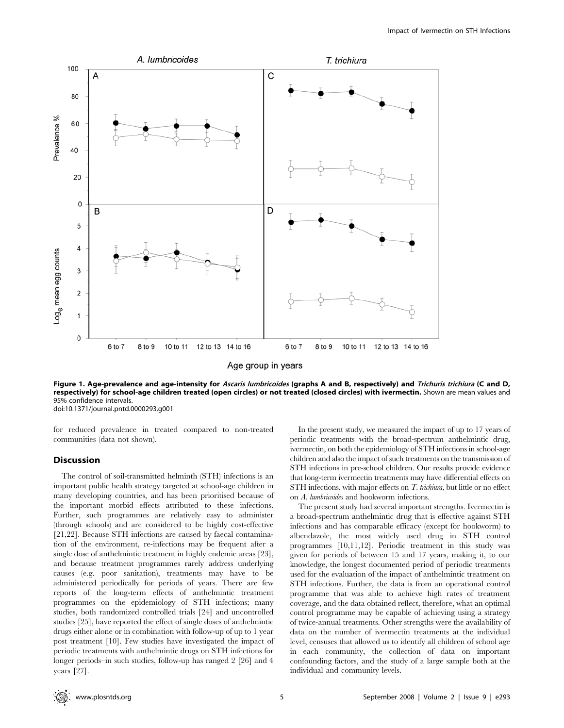

Figure 1. Age-prevalence and age-intensity for Ascaris lumbricoides (graphs A and B, respectively) and Trichuris trichiura (C and D, respectively) for school-age children treated (open circles) or not treated (closed circles) with ivermectin. Shown are mean values and 95% confidence intervals. doi:10.1371/journal.pntd.0000293.g001

for reduced prevalence in treated compared to non-treated communities (data not shown).

## **Discussion**

The control of soil-transmitted helminth (STH) infections is an important public health strategy targeted at school-age children in many developing countries, and has been prioritised because of the important morbid effects attributed to these infections. Further, such programmes are relatively easy to administer (through schools) and are considered to be highly cost-effective [21,22]. Because STH infections are caused by faecal contamination of the environment, re-infections may be frequent after a single dose of anthelmintic treatment in highly endemic areas [23], and because treatment programmes rarely address underlying causes (e.g. poor sanitation), treatments may have to be administered periodically for periods of years. There are few reports of the long-term effects of anthelmintic treatment programmes on the epidemiology of STH infections; many studies, both randomized controlled trials [24] and uncontrolled studies [25], have reported the effect of single doses of anthelmintic drugs either alone or in combination with follow-up of up to 1 year post treatment [10]. Few studies have investigated the impact of periodic treatments with anthelmintic drugs on STH infections for longer periods–in such studies, follow-up has ranged 2 [26] and 4 years [27].

In the present study, we measured the impact of up to 17 years of periodic treatments with the broad-spectrum anthelmintic drug, ivermectin, on both the epidemiology of STH infections in school-age children and also the impact of such treatments on the transmission of STH infections in pre-school children. Our results provide evidence that long-term ivermectin treatments may have differential effects on STH infections, with major effects on T. trichiura, but little or no effect on A. lumbricoides and hookworm infections.

The present study had several important strengths. Ivermectin is a broad-spectrum anthelmintic drug that is effective against STH infections and has comparable efficacy (except for hookworm) to albendazole, the most widely used drug in STH control programmes [10,11,12]. Periodic treatment in this study was given for periods of between 15 and 17 years, making it, to our knowledge, the longest documented period of periodic treatments used for the evaluation of the impact of anthelmintic treatment on STH infections. Further, the data is from an operational control programme that was able to achieve high rates of treatment coverage, and the data obtained reflect, therefore, what an optimal control programme may be capable of achieving using a strategy of twice-annual treatments. Other strengths were the availability of data on the number of ivermectin treatments at the individual level, censuses that allowed us to identify all children of school age in each community, the collection of data on important confounding factors, and the study of a large sample both at the individual and community levels.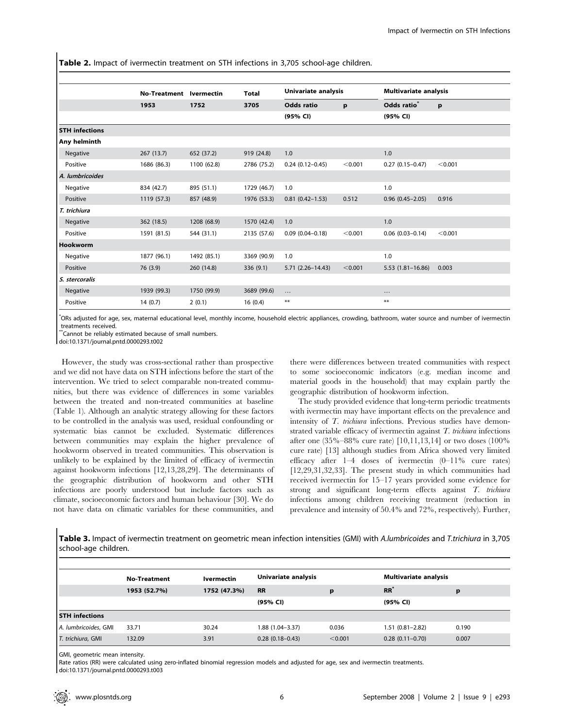Table 2. Impact of ivermectin treatment on STH infections in 3,705 school-age children.

|                       | <b>No-Treatment</b> | <b>Ivermectin</b> | <b>Total</b> | Univariate analysis    |         | Multivariate analysis   |         |
|-----------------------|---------------------|-------------------|--------------|------------------------|---------|-------------------------|---------|
|                       | 1953                | 1752              | 3705         | <b>Odds ratio</b>      | p       | Odds ratio <sup>®</sup> | p       |
|                       |                     |                   |              | (95% CI)               |         | (95% CI)                |         |
| <b>STH</b> infections |                     |                   |              |                        |         |                         |         |
| Any helminth          |                     |                   |              |                        |         |                         |         |
| Negative              | 267(13.7)           | 652 (37.2)        | 919 (24.8)   | 1.0                    |         | 1.0                     |         |
| Positive              | 1686 (86.3)         | 1100 (62.8)       | 2786 (75.2)  | $0.24(0.12 - 0.45)$    | < 0.001 | $0.27(0.15 - 0.47)$     | < 0.001 |
| A. lumbricoides       |                     |                   |              |                        |         |                         |         |
| Negative              | 834 (42.7)          | 895 (51.1)        | 1729 (46.7)  | 1.0                    |         | 1.0                     |         |
| Positive              | 1119 (57.3)         | 857 (48.9)        | 1976 (53.3)  | $0.81(0.42 - 1.53)$    | 0.512   | $0.96(0.45 - 2.05)$     | 0.916   |
| T. trichiura          |                     |                   |              |                        |         |                         |         |
| Negative              | 362 (18.5)          | 1208 (68.9)       | 1570 (42.4)  | 1.0                    |         | 1.0                     |         |
| Positive              | 1591 (81.5)         | 544 (31.1)        | 2135 (57.6)  | $0.09$ $(0.04 - 0.18)$ | < 0.001 | $0.06(0.03 - 0.14)$     | < 0.001 |
| Hookworm              |                     |                   |              |                        |         |                         |         |
| Negative              | 1877 (96.1)         | 1492 (85.1)       | 3369 (90.9)  | 1.0                    |         | 1.0                     |         |
| Positive              | 76 (3.9)            | 260 (14.8)        | 336(9.1)     | 5.71 (2.26-14.43)      | < 0.001 | $5.53(1.81 - 16.86)$    | 0.003   |
| S. stercoralis        |                     |                   |              |                        |         |                         |         |
| Negative              | 1939 (99.3)         | 1750 (99.9)       | 3689 (99.6)  | $\ldots$               |         | $\cdots$                |         |
| Positive              | 14(0.7)             | 2(0.1)            | 16(0.4)      | $***$                  |         | $***$                   |         |

\* ORs adjusted for age, sex, maternal educational level, monthly income, household electric appliances, crowding, bathroom, water source and number of ivermectin treatments received.

\*\*Cannot be reliably estimated because of small numbers.

doi:10.1371/journal.pntd.0000293.t002

However, the study was cross-sectional rather than prospective and we did not have data on STH infections before the start of the intervention. We tried to select comparable non-treated communities, but there was evidence of differences in some variables between the treated and non-treated communities at baseline (Table 1). Although an analytic strategy allowing for these factors to be controlled in the analysis was used, residual confounding or systematic bias cannot be excluded. Systematic differences between communities may explain the higher prevalence of hookworm observed in treated communities. This observation is unlikely to be explained by the limited of efficacy of ivermectin against hookworm infections [12,13,28,29]. The determinants of the geographic distribution of hookworm and other STH infections are poorly understood but include factors such as climate, socioeconomic factors and human behaviour [30]. We do not have data on climatic variables for these communities, and there were differences between treated communities with respect to some socioeconomic indicators (e.g. median income and material goods in the household) that may explain partly the geographic distribution of hookworm infection.

The study provided evidence that long-term periodic treatments with ivermectin may have important effects on the prevalence and intensity of T. trichiura infections. Previous studies have demonstrated variable efficacy of ivermectin against  $T$ . trichiura infections after one (35%–88% cure rate) [10,11,13,14] or two doses (100% cure rate) [13] although studies from Africa showed very limited efficacy after 1–4 doses of ivermectin (0–11% cure rates) [12,29,31,32,33]. The present study in which communities had received ivermectin for 15–17 years provided some evidence for strong and significant long-term effects against T. trichiura infections among children receiving treatment (reduction in prevalence and intensity of 50.4% and 72%, respectively). Further,

Table 3. Impact of ivermectin treatment on geometric mean infection intensities (GMI) with A.lumbricoides and T.trichiura in 3,705 school-age children.

|                       | <b>No-Treatment</b> | Ivermectin   | Univariate analysis |         |                     | <b>Multivariate analysis</b> |  |
|-----------------------|---------------------|--------------|---------------------|---------|---------------------|------------------------------|--|
|                       | 1953 (52.7%)        | 1752 (47.3%) | <b>RR</b>           | p       | RR <sup>3</sup>     | p                            |  |
|                       |                     |              | (95% CI)            |         | (95% CI)            |                              |  |
| <b>STH</b> infections |                     |              |                     |         |                     |                              |  |
| A. lumbricoides, GMI  | 33.71               | 30.24        | $1.88(1.04 - 3.37)$ | 0.036   | 1.51 (0.81-2.82)    | 0.190                        |  |
| T. trichiura, GMI     | 132.09              | 3.91         | $0.28(0.18-0.43)$   | < 0.001 | $0.28(0.11 - 0.70)$ | 0.007                        |  |

GMI, geometric mean intensity.

Rate ratios (RR) were calculated using zero-inflated binomial regression models and adjusted for age, sex and ivermectin treatments. doi:10.1371/journal.pntd.0000293.t003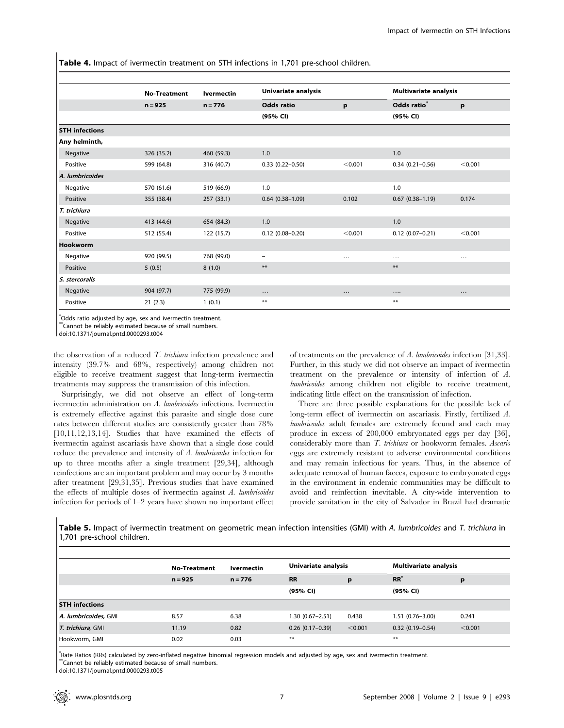Table 4. Impact of ivermectin treatment on STH infections in 1,701 pre-school children.

|                       | <b>No-Treatment</b> | <b>Ivermectin</b> | Univariate analysis    |           |                         | <b>Multivariate analysis</b> |  |  |
|-----------------------|---------------------|-------------------|------------------------|-----------|-------------------------|------------------------------|--|--|
|                       | $n = 925$           | $n = 776$         | <b>Odds ratio</b>      | p         | Odds ratio <sup>®</sup> | p                            |  |  |
|                       |                     |                   | (95% CI)               |           | (95% CI)                |                              |  |  |
| <b>STH</b> infections |                     |                   |                        |           |                         |                              |  |  |
| Any helminth,         |                     |                   |                        |           |                         |                              |  |  |
| Negative              | 326 (35.2)          | 460 (59.3)        | 1.0                    |           | 1.0                     |                              |  |  |
| Positive              | 599 (64.8)          | 316 (40.7)        | $0.33$ $(0.22 - 0.50)$ | < 0.001   | $0.34(0.21 - 0.56)$     | < 0.001                      |  |  |
| A. lumbricoides       |                     |                   |                        |           |                         |                              |  |  |
| Negative              | 570 (61.6)          | 519 (66.9)        | 1.0                    |           | 1.0                     |                              |  |  |
| Positive              | 355 (38.4)          | 257 (33.1)        | $0.64$ $(0.38 - 1.09)$ | 0.102     | $0.67$ $(0.38 - 1.19)$  | 0.174                        |  |  |
| T. trichiura          |                     |                   |                        |           |                         |                              |  |  |
| Negative              | 413 (44.6)          | 654 (84.3)        | 1.0                    |           | 1.0                     |                              |  |  |
| Positive              | 512 (55.4)          | 122 (15.7)        | $0.12$ (0.08-0.20)     | < 0.001   | $0.12$ (0.07-0.21)      | < 0.001                      |  |  |
| <b>Hookworm</b>       |                     |                   |                        |           |                         |                              |  |  |
| Negative              | 920 (99.5)          | 768 (99.0)        | $\overline{a}$         |           | $\cdots$                | $\cdots$                     |  |  |
| Positive              | 5(0.5)              | 8(1.0)            | $***$                  |           | $***$                   |                              |  |  |
| S. stercoralis        |                     |                   |                        |           |                         |                              |  |  |
| Negative              | 904 (97.7)          | 775 (99.9)        | $\ldots$               | $\ddotsc$ | $\cdots$                | $\cdots$                     |  |  |
| Positive              | 21(2.3)             | 1(0.1)            | $***$                  |           | $***$                   |                              |  |  |

\* Odds ratio adjusted by age, sex and ivermectin treatment.

\*\*Cannot be reliably estimated because of small numbers.

doi:10.1371/journal.pntd.0000293.t004

the observation of a reduced  $T$ . trichiura infection prevalence and intensity (39.7% and 68%, respectively) among children not eligible to receive treatment suggest that long-term ivermectin treatments may suppress the transmission of this infection.

Surprisingly, we did not observe an effect of long-term ivermectin administration on A. lumbricoides infections. Ivermectin is extremely effective against this parasite and single dose cure rates between different studies are consistently greater than 78% [10,11,12,13,14]. Studies that have examined the effects of ivermectin against ascariasis have shown that a single dose could reduce the prevalence and intensity of A. lumbricoides infection for up to three months after a single treatment [29,34], although reinfections are an important problem and may occur by 3 months after treatment [29,31,35]. Previous studies that have examined the effects of multiple doses of ivermectin against A. lumbricoides infection for periods of 1–2 years have shown no important effect

of treatments on the prevalence of A. lumbricoides infection [31,33]. Further, in this study we did not observe an impact of ivermectin treatment on the prevalence or intensity of infection of A. lumbricoides among children not eligible to receive treatment, indicating little effect on the transmission of infection.

There are three possible explanations for the possible lack of long-term effect of ivermectin on ascariasis. Firstly, fertilized A. lumbricoides adult females are extremely fecund and each may produce in excess of 200,000 embryonated eggs per day [36], considerably more than T. trichiura or hookworm females. Ascaris eggs are extremely resistant to adverse environmental conditions and may remain infectious for years. Thus, in the absence of adequate removal of human faeces, exposure to embryonated eggs in the environment in endemic communities may be difficult to avoid and reinfection inevitable. A city-wide intervention to provide sanitation in the city of Salvador in Brazil had dramatic

Table 5. Impact of ivermectin treatment on geometric mean infection intensities (GMI) with A. lumbricoides and T. trichiura in 1,701 pre-school children.

|                       | <b>No-Treatment</b> | Ivermectin |                    | Univariate analysis |                     | <b>Multivariate analysis</b> |  |
|-----------------------|---------------------|------------|--------------------|---------------------|---------------------|------------------------------|--|
|                       | $n = 925$           | $n = 776$  | <b>RR</b>          | p                   | $RR^2$              | p                            |  |
|                       |                     |            | (95% CI)           |                     | (95% CI)            |                              |  |
| <b>STH</b> infections |                     |            |                    |                     |                     |                              |  |
| A. lumbricoides, GMI  | 8.57                | 6.38       | 1.30 (0.67–2.51)   | 0.438               | 1.51 (0.76-3.00)    | 0.241                        |  |
| T. trichiura, GMI     | 11.19               | 0.82       | $0.26$ (0.17-0.39) | < 0.001             | $0.32(0.19 - 0.54)$ | < 0.001                      |  |
| Hookworm, GMI         | 0.02                | 0.03       | $***$              |                     | $***$               |                              |  |

\* Rate Ratios (RRs) calculated by zero-inflated negative binomial regression models and adjusted by age, sex and ivermectin treatment. \*\*Cannot be reliably estimated because of small numbers.

doi:10.1371/journal.pntd.0000293.t005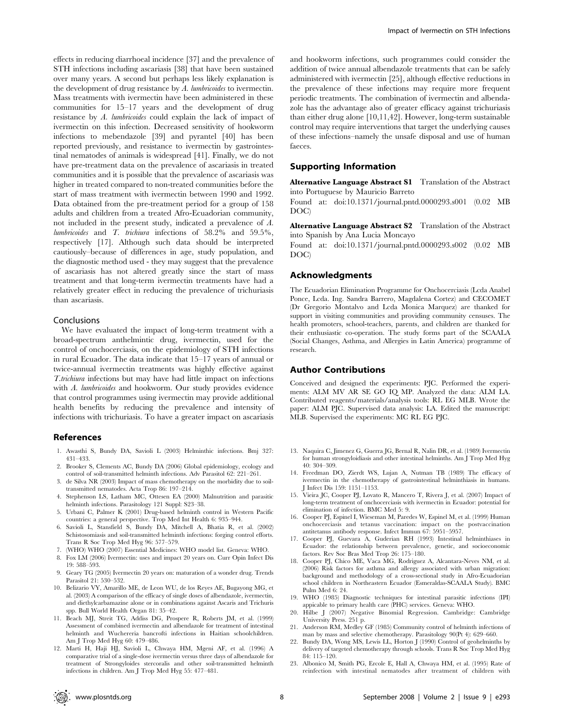effects in reducing diarrhoeal incidence [37] and the prevalence of STH infections including ascariasis [38] that have been sustained over many years. A second but perhaps less likely explanation is the development of drug resistance by A. lumbricoides to ivermectin. Mass treatments with ivermectin have been administered in these communities for 15–17 years and the development of drug resistance by A. lumbricoides could explain the lack of impact of ivermectin on this infection. Decreased sensitivity of hookworm infections to mebendazole [39] and pyrantel [40] has been reported previously, and resistance to ivermectin by gastrointestinal nematodes of animals is widespread [41]. Finally, we do not have pre-treatment data on the prevalence of ascariasis in treated communities and it is possible that the prevalence of ascariasis was higher in treated compared to non-treated communities before the start of mass treatment with ivermectin between 1990 and 1992. Data obtained from the pre-treatment period for a group of 158 adults and children from a treated Afro-Ecuadorian community, not included in the present study, indicated a prevalence of A. lumbricoides and T. trichiura infections of 58.2% and 59.5%, respectively [17]. Although such data should be interpreted cautiously–because of differences in age, study population, and the diagnostic method used - they may suggest that the prevalence of ascariasis has not altered greatly since the start of mass treatment and that long-term ivermectin treatments have had a relatively greater effect in reducing the prevalence of trichuriasis than ascariasis.

# Conclusions

We have evaluated the impact of long-term treatment with a broad-spectrum anthelmintic drug, ivermectin, used for the control of onchocerciasis, on the epidemiology of STH infections in rural Ecuador. The data indicate that 15–17 years of annual or twice-annual ivermectin treatments was highly effective against T.trichiura infections but may have had little impact on infections with A. lumbricoides and hookworm. Our study provides evidence that control programmes using ivermectin may provide additional health benefits by reducing the prevalence and intensity of infections with trichuriasis. To have a greater impact on ascariasis

# References

- 1. Awasthi S, Bundy DA, Savioli L (2003) Helminthic infections. Bmj 327: 431–433.
- 2. Brooker S, Clements AC, Bundy DA (2006) Global epidemiology, ecology and control of soil-transmitted helminth infections. Adv Parasitol 62: 221–261.
- 3. de Silva NR (2003) Impact of mass chemotherapy on the morbidity due to soiltransmitted nematodes. Acta Trop 86: 197–214.
- 4. Stephenson LS, Latham MC, Ottesen EA (2000) Malnutrition and parasitic helminth infections. Parasitology 121 Suppl: S23–38.
- 5. Urbani C, Palmer K (2001) Drug-based helminth control in Western Pacific countries: a general perspective. Trop Med Int Health 6: 935–944.
- 6. Savioli L, Stansfield S, Bundy DA, Mitchell A, Bhatia R, et al. (2002) Schistosomiasis and soil-transmitted helminth infections: forging control efforts. Trans R Soc Trop Med Hyg 96: 577–579.
- 7. (WHO) WHO (2007) Essential Medicines: WHO model list. Geneva: WHO.
- 8. Fox LM (2006) Ivermectin: uses and impact 20 years on. Curr Opin Infect Dis
- 19: 588–593. 9. Geary TG (2005) Ivermectin 20 years on: maturation of a wonder drug. Trends Parasitol 21: 530–532.
- 10. Belizario VY, Amarillo ME, de Leon WU, de los Reyes AE, Bugayong MG, et al. (2003) A comparison of the efficacy of single doses of albendazole, ivermectin, and diethylcarbamazine alone or in combinations against Ascaris and Trichuris spp. Bull World Health Organ 81: 35–42.
- 11. Beach MJ, Streit TG, Addiss DG, Prospere R, Roberts JM, et al. (1999) Assessment of combined ivermectin and albendazole for treatment of intestinal helminth and Wuchereria bancrofti infections in Haitian schoolchildren. Am J Trop Med Hyg 60: 479–486.
- 12. Marti H, Haji HJ, Savioli L, Chwaya HM, Mgeni AF, et al. (1996) A comparative trial of a single-dose ivermectin versus three days of albendazole for treatment of Strongyloides stercoralis and other soil-transmitted helminth infections in children. Am J Trop Med Hyg 55: 477–481.

and hookworm infections, such programmes could consider the addition of twice annual albendazole treatments that can be safely administered with ivermectin [25], although effective reductions in the prevalence of these infections may require more frequent periodic treatments. The combination of ivermectin and albendazole has the advantage also of greater efficacy against trichuriasis than either drug alone [10,11,42]. However, long-term sustainable control may require interventions that target the underlying causes of these infections–namely the unsafe disposal and use of human faeces.

## Supporting Information

Alternative Language Abstract S1 Translation of the Abstract into Portuguese by Mauricio Barreto

Found at: doi:10.1371/journal.pntd.0000293.s001 (0.02 MB DOC)

Alternative Language Abstract S2 Translation of the Abstract into Spanish by Ana Lucia Moncayo

Found at: doi:10.1371/journal.pntd.0000293.s002 (0.02 MB DOC)

#### Acknowledgments

The Ecuadorian Elimination Programme for Onchocerciasis (Lcda Anabel Ponce, Lcda. Ing. Sandra Barrero, Magdalena Cortez) and CECOMET (Dr Gregorio Montalvo and Lcda Monica Marquez) are thanked for support in visiting communities and providing community censuses. The health promoters, school-teachers, parents, and children are thanked for their enthusiastic co-operation. The study forms part of the SCAALA (Social Changes, Asthma, and Allergies in Latin America) programme of research.

## Author Contributions

Conceived and designed the experiments: PJC. Performed the experiments: ALM MV AR SE GO IQ MP. Analyzed the data: ALM LA. Contributed reagents/materials/analysis tools: RL EG MLB. Wrote the paper: ALM PJC. Supervised data analysis: LA. Edited the manuscript: MLB. Supervised the experiments: MC RL EG PJC.

- 13. Naquira C, Jimenez G, Guerra JG, Bernal R, Nalin DR, et al. (1989) Ivermectin for human strongyloidiasis and other intestinal helminths. Am J Trop Med Hyg 40: 304–309.
- 14. Freedman DO, Zierdt WS, Lujan A, Nutman TB (1989) The efficacy of ivermectin in the chemotherapy of gastrointestinal helminthiasis in humans. J Infect Dis 159: 1151–1153.
- 15. Vieira JC, Cooper PJ, Lovato R, Mancero T, Rivera J, et al. (2007) Impact of long-term treatment of onchocerciasis with ivermectin in Ecuador: potential for elimination of infection. BMC Med 5: 9.
- 16. Cooper PJ, Espinel I, Wieseman M, Paredes W, Espinel M, et al. (1999) Human onchocerciasis and tetanus vaccination: impact on the postvaccination antitetanus antibody response. Infect Immun 67: 5951–5957.
- 17. Cooper PJ, Guevara A, Guderian RH (1993) Intestinal helminthiases in Ecuador: the relationship between prevalence, genetic, and socioeconomic factors. Rev Soc Bras Med Trop 26: 175–180.
- 18. Cooper PJ, Chico ME, Vaca MG, Rodriguez A, Alcantara-Neves NM, et al. (2006) Risk factors for asthma and allergy associated with urban migration: background and methodology of a cross-sectional study in Afro-Ecuadorian school children in Northeastern Ecuador (Esmeraldas-SCAALA Study). BMC Pulm Med 6: 24.
- 19. WHO (1985) Diagnostic techniques for intestinal parasitic infections (IPI) appicable to primary health care (PHC) services. Geneva: WHO.
- 20. Hilbe J (2007) Negative Binomial Regression. Cambridge: Cambridge University Press. 251 p.
- 21. Anderson RM, Medley GF (1985) Community control of helminth infections of man by mass and selective chemotherapy. Parasitology 90(Pt 4): 629–660.
- 22. Bundy DA, Wong MS, Lewis LL, Horton J (1990) Control of geohelminths by delivery of targeted chemotherapy through schools. Trans R Soc Trop Med Hyg 84: 115–120.
- 23. Albonico M, Smith PG, Ercole E, Hall A, Chwaya HM, et al. (1995) Rate of reinfection with intestinal nematodes after treatment of children with